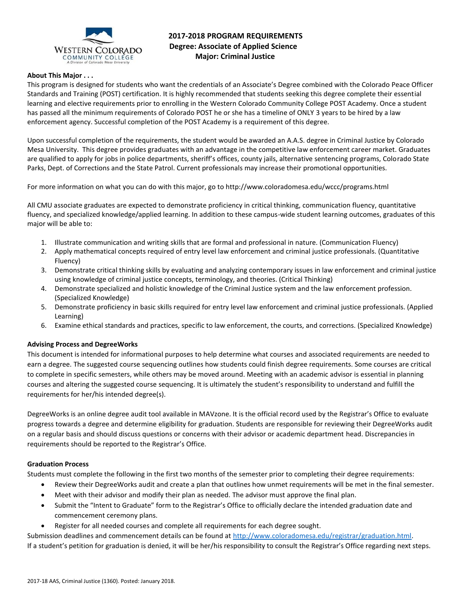

# **2017-2018 PROGRAM REQUIREMENTS Degree: Associate of Applied Science Major: Criminal Justice**

## **About This Major . . .**

This program is designed for students who want the credentials of an Associate's Degree combined with the Colorado Peace Officer Standards and Training (POST) certification. It is highly recommended that students seeking this degree complete their essential learning and elective requirements prior to enrolling in the Western Colorado Community College POST Academy. Once a student has passed all the minimum requirements of Colorado POST he or she has a timeline of ONLY 3 years to be hired by a law enforcement agency. Successful completion of the POST Academy is a requirement of this degree.

Upon successful completion of the requirements, the student would be awarded an A.A.S. degree in Criminal Justice by Colorado Mesa University. This degree provides graduates with an advantage in the competitive law enforcement career market. Graduates are qualified to apply for jobs in police departments, sheriff's offices, county jails, alternative sentencing programs, Colorado State Parks, Dept. of Corrections and the State Patrol. Current professionals may increase their promotional opportunities.

For more information on what you can do with this major, go to http://www.coloradomesa.edu/wccc/programs.html

All CMU associate graduates are expected to demonstrate proficiency in critical thinking, communication fluency, quantitative fluency, and specialized knowledge/applied learning. In addition to these campus-wide student learning outcomes, graduates of this major will be able to:

- 1. Illustrate communication and writing skills that are formal and professional in nature. (Communication Fluency)
- 2. Apply mathematical concepts required of entry level law enforcement and criminal justice professionals. (Quantitative Fluency)
- 3. Demonstrate critical thinking skills by evaluating and analyzing contemporary issues in law enforcement and criminal justice using knowledge of criminal justice concepts, terminology, and theories. (Critical Thinking)
- 4. Demonstrate specialized and holistic knowledge of the Criminal Justice system and the law enforcement profession. (Specialized Knowledge)
- 5. Demonstrate proficiency in basic skills required for entry level law enforcement and criminal justice professionals. (Applied Learning)
- 6. Examine ethical standards and practices, specific to law enforcement, the courts, and corrections. (Specialized Knowledge)

### **Advising Process and DegreeWorks**

This document is intended for informational purposes to help determine what courses and associated requirements are needed to earn a degree. The suggested course sequencing outlines how students could finish degree requirements. Some courses are critical to complete in specific semesters, while others may be moved around. Meeting with an academic advisor is essential in planning courses and altering the suggested course sequencing. It is ultimately the student's responsibility to understand and fulfill the requirements for her/his intended degree(s).

DegreeWorks is an online degree audit tool available in MAVzone. It is the official record used by the Registrar's Office to evaluate progress towards a degree and determine eligibility for graduation. Students are responsible for reviewing their DegreeWorks audit on a regular basis and should discuss questions or concerns with their advisor or academic department head. Discrepancies in requirements should be reported to the Registrar's Office.

### **Graduation Process**

Students must complete the following in the first two months of the semester prior to completing their degree requirements:

- Review their DegreeWorks audit and create a plan that outlines how unmet requirements will be met in the final semester.
- Meet with their advisor and modify their plan as needed. The advisor must approve the final plan.
- Submit the "Intent to Graduate" form to the Registrar's Office to officially declare the intended graduation date and commencement ceremony plans.
- Register for all needed courses and complete all requirements for each degree sought.

Submission deadlines and commencement details can be found at [http://www.coloradomesa.edu/registrar/graduation.html.](http://www.coloradomesa.edu/registrar/graduation.html) If a student's petition for graduation is denied, it will be her/his responsibility to consult the Registrar's Office regarding next steps.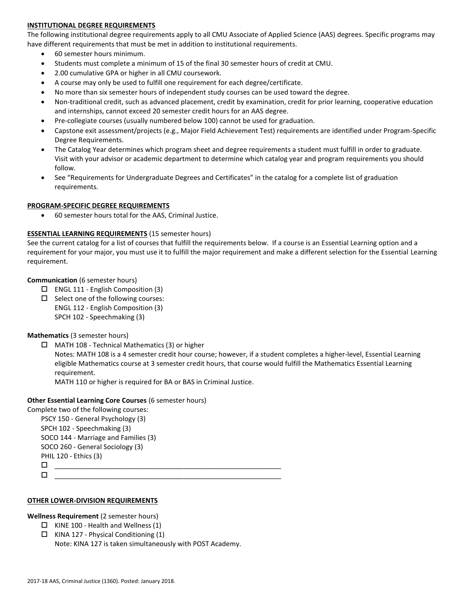## **INSTITUTIONAL DEGREE REQUIREMENTS**

The following institutional degree requirements apply to all CMU Associate of Applied Science (AAS) degrees. Specific programs may have different requirements that must be met in addition to institutional requirements.

- 60 semester hours minimum.
- Students must complete a minimum of 15 of the final 30 semester hours of credit at CMU.
- 2.00 cumulative GPA or higher in all CMU coursework.
- A course may only be used to fulfill one requirement for each degree/certificate.
- No more than six semester hours of independent study courses can be used toward the degree.
- Non-traditional credit, such as advanced placement, credit by examination, credit for prior learning, cooperative education and internships, cannot exceed 20 semester credit hours for an AAS degree.
- Pre-collegiate courses (usually numbered below 100) cannot be used for graduation.
- Capstone exit assessment/projects (e.g., Major Field Achievement Test) requirements are identified under Program-Specific Degree Requirements.
- The Catalog Year determines which program sheet and degree requirements a student must fulfill in order to graduate. Visit with your advisor or academic department to determine which catalog year and program requirements you should follow.
- See "Requirements for Undergraduate Degrees and Certificates" in the catalog for a complete list of graduation requirements.

### **PROGRAM-SPECIFIC DEGREE REQUIREMENTS**

60 semester hours total for the AAS, Criminal Justice.

### **ESSENTIAL LEARNING REQUIREMENTS** (15 semester hours)

See the current catalog for a list of courses that fulfill the requirements below. If a course is an Essential Learning option and a requirement for your major, you must use it to fulfill the major requirement and make a different selection for the Essential Learning requirement.

### **Communication** (6 semester hours)

- $\Box$  ENGL 111 English Composition (3)
- $\square$  Select one of the following courses: ENGL 112 - English Composition (3) SPCH 102 - Speechmaking (3)

### **Mathematics** (3 semester hours)

 $\Box$  MATH 108 - Technical Mathematics (3) or higher

Notes: MATH 108 is a 4 semester credit hour course; however, if a student completes a higher-level, Essential Learning eligible Mathematics course at 3 semester credit hours, that course would fulfill the Mathematics Essential Learning requirement.

MATH 110 or higher is required for BA or BAS in Criminal Justice.

### **Other Essential Learning Core Courses** (6 semester hours)

Complete two of the following courses:

PSCY 150 - General Psychology (3) SPCH 102 - Speechmaking (3) SOCO 144 - Marriage and Families (3) SOCO 260 - General Sociology (3) PHIL 120 - Ethics (3)  $\Box$ 

\_\_\_\_\_\_\_\_\_\_\_\_\_\_\_\_\_\_\_\_\_\_\_\_\_\_\_\_\_\_\_\_\_\_\_\_\_\_\_\_\_\_\_\_\_\_\_\_\_\_\_\_\_\_\_\_\_\_\_\_

### **OTHER LOWER-DIVISION REQUIREMENTS**

### **Wellness Requirement** (2 semester hours)

- $\Box$  KINE 100 Health and Wellness (1)
- $\Box$  KINA 127 Physical Conditioning (1) Note: KINA 127 is taken simultaneously with POST Academy.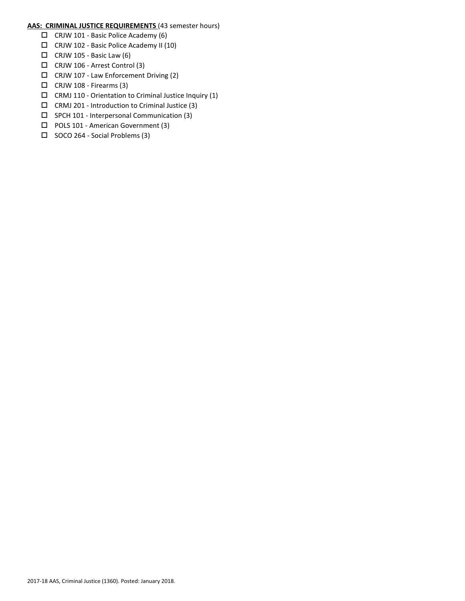## **AAS: CRIMINAL JUSTICE REQUIREMENTS** (43 semester hours)

- CRJW 101 Basic Police Academy (6)
- CRJW 102 Basic Police Academy II (10)
- $\Box$  CRJW 105 Basic Law (6)
- CRJW 106 Arrest Control (3)
- CRJW 107 Law Enforcement Driving (2)
- $\Box$  CRJW 108 Firearms (3)
- $\square$  CRMJ 110 Orientation to Criminal Justice Inquiry (1)
- $\Box$  CRMJ 201 Introduction to Criminal Justice (3)
- $\square$  SPCH 101 Interpersonal Communication (3)
- □ POLS 101 American Government (3)
- $\Box$  SOCO 264 Social Problems (3)